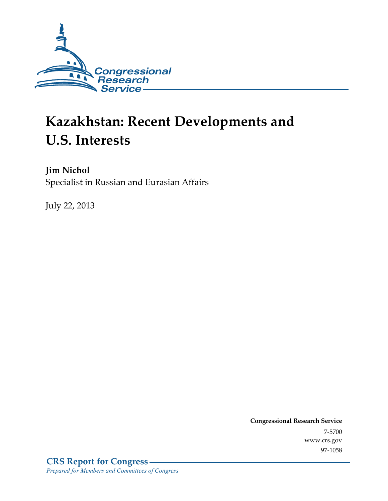

# **Kazakhstan: Recent Developments and U.S. Interests**

**Jim Nichol**  Specialist in Russian and Eurasian Affairs

July 22, 2013

**Congressional Research Service**  7-5700 www.crs.gov 97-1058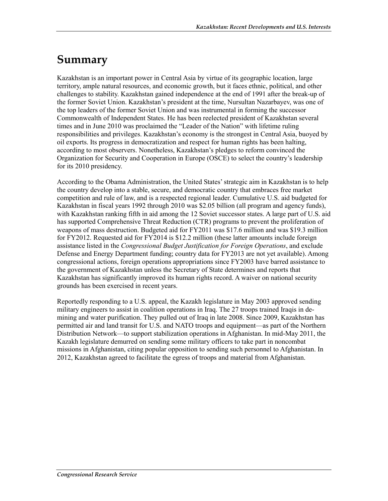### **Summary**

Kazakhstan is an important power in Central Asia by virtue of its geographic location, large territory, ample natural resources, and economic growth, but it faces ethnic, political, and other challenges to stability. Kazakhstan gained independence at the end of 1991 after the break-up of the former Soviet Union. Kazakhstan's president at the time, Nursultan Nazarbayev, was one of the top leaders of the former Soviet Union and was instrumental in forming the successor Commonwealth of Independent States. He has been reelected president of Kazakhstan several times and in June 2010 was proclaimed the "Leader of the Nation" with lifetime ruling responsibilities and privileges. Kazakhstan's economy is the strongest in Central Asia, buoyed by oil exports. Its progress in democratization and respect for human rights has been halting, according to most observers. Nonetheless, Kazakhstan's pledges to reform convinced the Organization for Security and Cooperation in Europe (OSCE) to select the country's leadership for its 2010 presidency.

According to the Obama Administration, the United States' strategic aim in Kazakhstan is to help the country develop into a stable, secure, and democratic country that embraces free market competition and rule of law, and is a respected regional leader. Cumulative U.S. aid budgeted for Kazakhstan in fiscal years 1992 through 2010 was \$2.05 billion (all program and agency funds), with Kazakhstan ranking fifth in aid among the 12 Soviet successor states. A large part of U.S. aid has supported Comprehensive Threat Reduction (CTR) programs to prevent the proliferation of weapons of mass destruction. Budgeted aid for FY2011 was \$17.6 million and was \$19.3 million for FY2012. Requested aid for FY2014 is \$12.2 million (these latter amounts include foreign assistance listed in the *Congressional Budget Justification for Foreign Operations*, and exclude Defense and Energy Department funding; country data for FY2013 are not yet available). Among congressional actions, foreign operations appropriations since FY2003 have barred assistance to the government of Kazakhstan unless the Secretary of State determines and reports that Kazakhstan has significantly improved its human rights record. A waiver on national security grounds has been exercised in recent years.

Reportedly responding to a U.S. appeal, the Kazakh legislature in May 2003 approved sending military engineers to assist in coalition operations in Iraq. The 27 troops trained Iraqis in demining and water purification. They pulled out of Iraq in late 2008. Since 2009, Kazakhstan has permitted air and land transit for U.S. and NATO troops and equipment—as part of the Northern Distribution Network—to support stabilization operations in Afghanistan. In mid-May 2011, the Kazakh legislature demurred on sending some military officers to take part in noncombat missions in Afghanistan, citing popular opposition to sending such personnel to Afghanistan. In 2012, Kazakhstan agreed to facilitate the egress of troops and material from Afghanistan.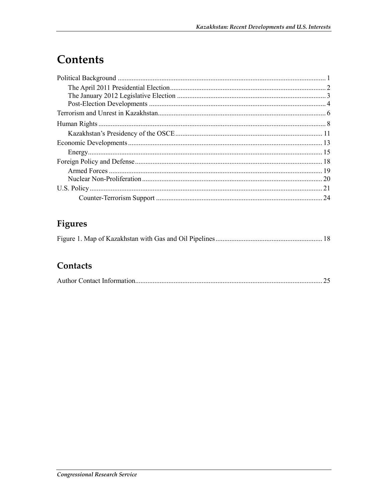## Contents

| 21 |
|----|
|    |

### Figures

|--|--|--|--|--|

### Contacts

|--|--|--|--|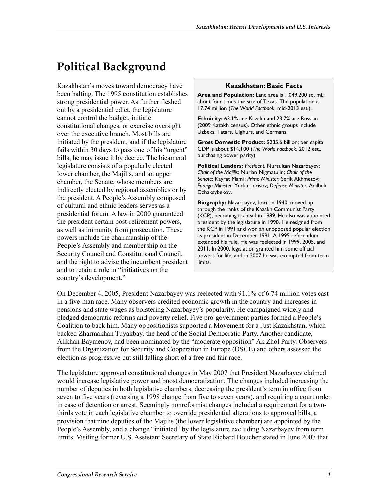## **Political Background**

Kazakhstan's moves toward democracy have been halting. The 1995 constitution establishes strong presidential power. As further fleshed out by a presidential edict, the legislature cannot control the budget, initiate constitutional changes, or exercise oversight over the executive branch. Most bills are initiated by the president, and if the legislature fails within 30 days to pass one of his "urgent" bills, he may issue it by decree. The bicameral legislature consists of a popularly elected lower chamber, the Majilis, and an upper chamber, the Senate, whose members are indirectly elected by regional assemblies or by the president. A People's Assembly composed of cultural and ethnic leaders serves as a presidential forum. A law in 2000 guaranteed the president certain post-retirement powers, as well as immunity from prosecution. These powers include the chairmanship of the People's Assembly and membership on the Security Council and Constitutional Council, and the right to advise the incumbent president and to retain a role in "initiatives on the country's development."

#### **Kazakhstan: Basic Facts**

**Area and Population:** Land area is 1,049,200 sq. mi.; about four times the size of Texas. The population is 17.74 million (*The World Factbook*, mid-2013 est*.*).

**Ethnicity:** 63.1% are Kazakh and 23.7% are Russian (2009 Kazakh census). Other ethnic groups include Uzbeks, Tatars, Uighurs, and Germans.

**Gross Domestic Product:** \$235.6 billion; per capita GDP is about \$14,100 (*The World Factbook*, 2012 est., purchasing power parity).

**Political Leaders:** *President:* Nursultan Nazarbayev; *Chair of the Majilis*: Nurlan Nigmatulin; *Chair of the Senate*: Kayrat Mami; *Prime Minister*: Serik Akhmetov; *Foreign Minister*: Yerlan Idrisov; *Defense Minister*: Adilbek Dzhaksybekov.

**Biography:** Nazarbayev, born in 1940, moved up through the ranks of the Kazakh Communist Party (KCP), becoming its head in 1989. He also was appointed president by the legislature in 1990. He resigned from the KCP in 1991 and won an unopposed popular election as president in December 1991. A 1995 referendum extended his rule. He was reelected in 1999, 2005, and 2011. In 2000, legislation granted him some official powers for life, and in 2007 he was exempted from term limits.

On December 4, 2005, President Nazarbayev was reelected with 91.1% of 6.74 million votes cast in a five-man race. Many observers credited economic growth in the country and increases in pensions and state wages as bolstering Nazarbayev's popularity. He campaigned widely and pledged democratic reforms and poverty relief. Five pro-government parties formed a People's Coalition to back him. Many oppositionists supported a Movement for a Just Kazakhstan, which backed Zharmakhan Tuyakbay, the head of the Social Democratic Party. Another candidate, Alikhan Baymenov, had been nominated by the "moderate opposition" Ak Zhol Party. Observers from the Organization for Security and Cooperation in Europe (OSCE) and others assessed the election as progressive but still falling short of a free and fair race.

The legislature approved constitutional changes in May 2007 that President Nazarbayev claimed would increase legislative power and boost democratization. The changes included increasing the number of deputies in both legislative chambers, decreasing the president's term in office from seven to five years (reversing a 1998 change from five to seven years), and requiring a court order in case of detention or arrest. Seemingly nonreformist changes included a requirement for a twothirds vote in each legislative chamber to override presidential alterations to approved bills, a provision that nine deputies of the Majilis (the lower legislative chamber) are appointed by the People's Assembly, and a change "initiated" by the legislature excluding Nazarbayev from term limits. Visiting former U.S. Assistant Secretary of State Richard Boucher stated in June 2007 that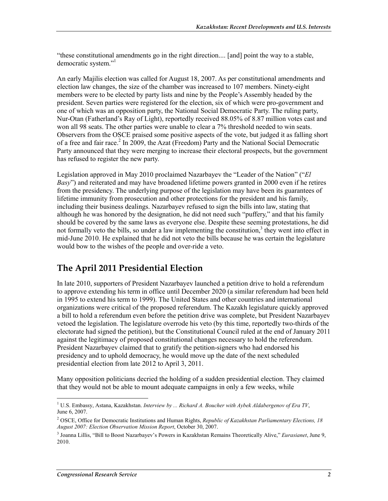"these constitutional amendments go in the right direction.... [and] point the way to a stable, democratic system."<sup>1</sup>

An early Majilis election was called for August 18, 2007. As per constitutional amendments and election law changes, the size of the chamber was increased to 107 members. Ninety-eight members were to be elected by party lists and nine by the People's Assembly headed by the president. Seven parties were registered for the election, six of which were pro-government and one of which was an opposition party, the National Social Democratic Party. The ruling party, Nur-Otan (Fatherland's Ray of Light), reportedly received 88.05% of 8.87 million votes cast and won all 98 seats. The other parties were unable to clear a 7% threshold needed to win seats. Observers from the OSCE praised some positive aspects of the vote, but judged it as falling short of a free and fair race.<sup>2</sup> In 2009, the Azat (Freedom) Party and the National Social Democratic Party announced that they were merging to increase their electoral prospects, but the government has refused to register the new party.

Legislation approved in May 2010 proclaimed Nazarbayev the "Leader of the Nation" ("*El Basy*") and reiterated and may have broadened lifetime powers granted in 2000 even if he retires from the presidency. The underlying purpose of the legislation may have been its guarantees of lifetime immunity from prosecution and other protections for the president and his family, including their business dealings. Nazarbayev refused to sign the bills into law, stating that although he was honored by the designation, he did not need such "puffery," and that his family should be covered by the same laws as everyone else. Despite these seeming protestations, he did not formally veto the bills, so under a law implementing the constitution, $3$  they went into effect in mid-June 2010. He explained that he did not veto the bills because he was certain the legislature would bow to the wishes of the people and over-ride a veto.

### **The April 2011 Presidential Election**

In late 2010, supporters of President Nazarbayev launched a petition drive to hold a referendum to approve extending his term in office until December 2020 (a similar referendum had been held in 1995 to extend his term to 1999). The United States and other countries and international organizations were critical of the proposed referendum. The Kazakh legislature quickly approved a bill to hold a referendum even before the petition drive was complete, but President Nazarbayev vetoed the legislation. The legislature overrode his veto (by this time, reportedly two-thirds of the electorate had signed the petition), but the Constitutional Council ruled at the end of January 2011 against the legitimacy of proposed constitutional changes necessary to hold the referendum. President Nazarbayev claimed that to gratify the petition-signers who had endorsed his presidency and to uphold democracy, he would move up the date of the next scheduled presidential election from late 2012 to April 3, 2011.

Many opposition politicians decried the holding of a sudden presidential election. They claimed that they would not be able to mount adequate campaigns in only a few weeks, while

<sup>&</sup>lt;sup>1</sup> U.S. Embassy, Astana, Kazakhstan. *Interview by ... Richard A. Boucher with Aybek Aldabergenov of Era TV*, June 6, 2007.

<sup>2</sup> OSCE, Office for Democratic Institutions and Human Rights, *Republic of Kazakhstan Parliamentary Elections, 18 August 2007: Election Observation Mission Report*, October 30, 2007.

<sup>3</sup> Joanna Lillis, "Bill to Boost Nazarbayev's Powers in Kazakhstan Remains Theoretically Alive," *Eurasianet*, June 9, 2010.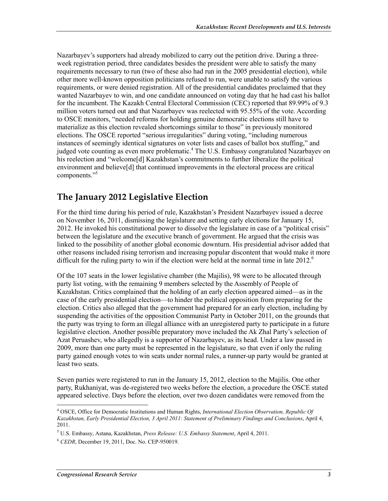Nazarbayev's supporters had already mobilized to carry out the petition drive. During a threeweek registration period, three candidates besides the president were able to satisfy the many requirements necessary to run (two of these also had run in the 2005 presidential election), while other more well-known opposition politicians refused to run, were unable to satisfy the various requirements, or were denied registration. All of the presidential candidates proclaimed that they wanted Nazarbayev to win, and one candidate announced on voting day that he had cast his ballot for the incumbent. The Kazakh Central Electoral Commission (CEC) reported that 89.99% of 9.3 million voters turned out and that Nazarbayev was reelected with 95.55% of the vote. According to OSCE monitors, "needed reforms for holding genuine democratic elections still have to materialize as this election revealed shortcomings similar to those" in previously monitored elections. The OSCE reported "serious irregularities" during voting, "including numerous instances of seemingly identical signatures on voter lists and cases of ballot box stuffing," and judged vote counting as even more problematic.<sup>4</sup> The U.S. Embassy congratulated Nazarbayev on his reelection and "welcome[d] Kazakhstan's commitments to further liberalize the political environment and believe[d] that continued improvements in the electoral process are critical components."<sup>5</sup>

#### **The January 2012 Legislative Election**

For the third time during his period of rule, Kazakhstan's President Nazarbayev issued a decree on November 16, 2011, dismissing the legislature and setting early elections for January 15, 2012. He invoked his constitutional power to dissolve the legislature in case of a "political crisis" between the legislature and the executive branch of government. He argued that the crisis was linked to the possibility of another global economic downturn. His presidential advisor added that other reasons included rising terrorism and increasing popular discontent that would make it more difficult for the ruling party to win if the election were held at the normal time in late 2012.<sup>6</sup>

Of the 107 seats in the lower legislative chamber (the Majilis), 98 were to be allocated through party list voting, with the remaining 9 members selected by the Assembly of People of Kazakhstan. Critics complained that the holding of an early election appeared aimed—as in the case of the early presidential election—to hinder the political opposition from preparing for the election. Critics also alleged that the government had prepared for an early election, including by suspending the activities of the opposition Communist Party in October 2011, on the grounds that the party was trying to form an illegal alliance with an unregistered party to participate in a future legislative election. Another possible preparatory move included the Ak Zhal Party's selection of Azat Peruashev, who allegedly is a supporter of Nazarbayev, as its head. Under a law passed in 2009, more than one party must be represented in the legislature, so that even if only the ruling party gained enough votes to win seats under normal rules, a runner-up party would be granted at least two seats.

Seven parties were registered to run in the January 15, 2012, election to the Majilis. One other party, Rukhaniyat, was de-registered two weeks before the election, a procedure the OSCE stated appeared selective. Days before the election, over two dozen candidates were removed from the

<sup>4</sup> OSCE, Office for Democratic Institutions and Human Rights, *International Election Observation, Republic Of Kazakhstan, Early Presidential Election, 3 April 2011: Statement of Preliminary Findings and Conclusions*, April 4, 2011.

<sup>5</sup> U.S. Embassy, Astana, Kazakhstan, *Press Release: U.S. Embassy Statement*, April 4, 2011.

<sup>6</sup> *CEDR*, December 19, 2011, Doc. No. CEP-950019.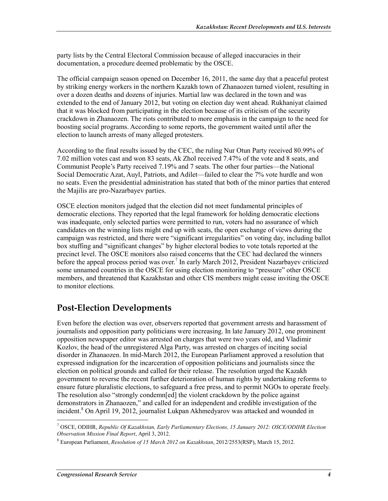party lists by the Central Electoral Commission because of alleged inaccuracies in their documentation, a procedure deemed problematic by the OSCE.

The official campaign season opened on December 16, 2011, the same day that a peaceful protest by striking energy workers in the northern Kazakh town of Zhanaozen turned violent, resulting in over a dozen deaths and dozens of injuries. Martial law was declared in the town and was extended to the end of January 2012, but voting on election day went ahead. Rukhaniyat claimed that it was blocked from participating in the election because of its criticism of the security crackdown in Zhanaozen. The riots contributed to more emphasis in the campaign to the need for boosting social programs. According to some reports, the government waited until after the election to launch arrests of many alleged protesters.

According to the final results issued by the CEC, the ruling Nur Otun Party received 80.99% of 7.02 million votes cast and won 83 seats, Ak Zhol received 7.47% of the vote and 8 seats, and Communist People's Party received 7.19% and 7 seats. The other four parties—the National Social Democratic Azat, Auyl, Patriots, and Adilet—failed to clear the 7% vote hurdle and won no seats. Even the presidential administration has stated that both of the minor parties that entered the Majilis are pro-Nazarbayev parties.

OSCE election monitors judged that the election did not meet fundamental principles of democratic elections. They reported that the legal framework for holding democratic elections was inadequate, only selected parties were permitted to run, voters had no assurance of which candidates on the winning lists might end up with seats, the open exchange of views during the campaign was restricted, and there were "significant irregularities" on voting day, including ballot box stuffing and "significant changes" by higher electoral bodies to vote totals reported at the precinct level. The OSCE monitors also raised concerns that the CEC had declared the winners before the appeal process period was over.<sup>7</sup> In early March 2012, President Nazarbayev criticized some unnamed countries in the OSCE for using election monitoring to "pressure" other OSCE members, and threatened that Kazakhstan and other CIS members might cease inviting the OSCE to monitor elections.

#### **Post-Election Developments**

Even before the election was over, observers reported that government arrests and harassment of journalists and opposition party politicians were increasing. In late January 2012, one prominent opposition newspaper editor was arrested on charges that were two years old, and Vladimir Kozlov, the head of the unregistered Alga Party, was arrested on charges of inciting social disorder in Zhanaozen. In mid-March 2012, the European Parliament approved a resolution that expressed indignation for the incarceration of opposition politicians and journalists since the election on political grounds and called for their release. The resolution urged the Kazakh government to reverse the recent further deterioration of human rights by undertaking reforms to ensure future pluralistic elections, to safeguard a free press, and to permit NGOs to operate freely. The resolution also "strongly condemn[ed] the violent crackdown by the police against demonstrators in Zhanaozen," and called for an independent and credible investigation of the incident.<sup>8</sup> On April 19, 2012, journalist Lukpan Akhmedyarov was attacked and wounded in

<sup>7</sup> OSCE, ODIHR, *Republic Of Kazakhstan, Early Parliamentary Elections, 15 January 2012: OSCE/ODIHR Election Observation Mission Final Report*, April 3, 2012.

<sup>8</sup> European Parliament, *Resolution of 15 March 2012 on Kazakhstan*, 2012/2553(RSP), March 15, 2012.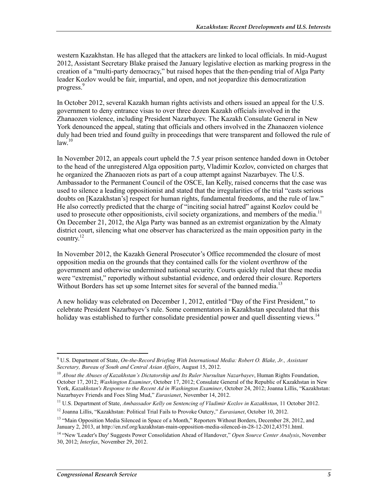western Kazakhstan. He has alleged that the attackers are linked to local officials. In mid-August 2012, Assistant Secretary Blake praised the January legislative election as marking progress in the creation of a "multi-party democracy," but raised hopes that the then-pending trial of Alga Party leader Kozlov would be fair, impartial, and open, and not jeopardize this democratization progress.<sup>9</sup>

In October 2012, several Kazakh human rights activists and others issued an appeal for the U.S. government to deny entrance visas to over three dozen Kazakh officials involved in the Zhanaozen violence, including President Nazarbayev. The Kazakh Consulate General in New York denounced the appeal, stating that officials and others involved in the Zhanaozen violence duly had been tried and found guilty in proceedings that were transparent and followed the rule of  $law<sup>10</sup>$ 

In November 2012, an appeals court upheld the 7.5 year prison sentence handed down in October to the head of the unregistered Alga opposition party, Vladimir Kozlov, convicted on charges that he organized the Zhanaozen riots as part of a coup attempt against Nazarbayev. The U.S. Ambassador to the Permanent Council of the OSCE, Ian Kelly, raised concerns that the case was used to silence a leading oppositionist and stated that the irregularities of the trial "casts serious doubts on [Kazakhstan's] respect for human rights, fundamental freedoms, and the rule of law." He also correctly predicted that the charge of "inciting social hatred" against Kozlov could be used to prosecute other oppositionists, civil society organizations, and members of the media.<sup>11</sup> On December 21, 2012, the Alga Party was banned as an extremist organization by the Almaty district court, silencing what one observer has characterized as the main opposition party in the country. $^{12}$ 

In November 2012, the Kazakh General Prosecutor's Office recommended the closure of most opposition media on the grounds that they contained calls for the violent overthrow of the government and otherwise undermined national security. Courts quickly ruled that these media were "extremist," reportedly without substantial evidence, and ordered their closure. Reporters Without Borders has set up some Internet sites for several of the banned media.<sup>13</sup>

A new holiday was celebrated on December 1, 2012, entitled "Day of the First President," to celebrate President Nazarbayev's rule. Some commentators in Kazakhstan speculated that this holiday was established to further consolidate presidential power and quell dissenting views.<sup>14</sup>

<sup>9</sup> U.S. Department of State, *On-the-Record Briefing With International Media: Robert O. Blake, Jr., Assistant Secretary, Bureau of South and Central Asian Affairs*, August 15, 2012.

<sup>10</sup> *About the Abuses of Kazakhstan's Dictatorship and Its Ruler Nursultan Nazarbayev*, Human Rights Foundation, October 17, 2012; *Washington Examiner*, October 17, 2012; Consulate General of the Republic of Kazakhstan in New York, *Kazakhstan's Response to the Recent Ad in Washington Examiner*, October 24, 2012; Joanna Lillis, "Kazakhstan: Nazarbayev Friends and Foes Sling Mud," *Eurasianet*, November 14, 2012.

<sup>11</sup> U.S. Department of State, *Ambassador Kelly on Sentencing of Vladimir Kozlov in Kazakhstan*, 11 October 2012.

<sup>12</sup> Joanna Lillis, "Kazakhstan: Political Trial Fails to Provoke Outcry," *Eurasianet*, October 10, 2012.

<sup>&</sup>lt;sup>13</sup> "Main Opposition Media Silenced in Space of a Month," Reporters Without Borders, December 28, 2012, and January 2, 2013, at http://en.rsf.org/kazakhstan-main-opposition-media-silenced-in-28-12-2012,43751.html.

<sup>14 &</sup>quot;New 'Leader's Day' Suggests Power Consolidation Ahead of Handover," *Open Source Center Analysis*, November 30, 2012; *Interfax*, November 29, 2012.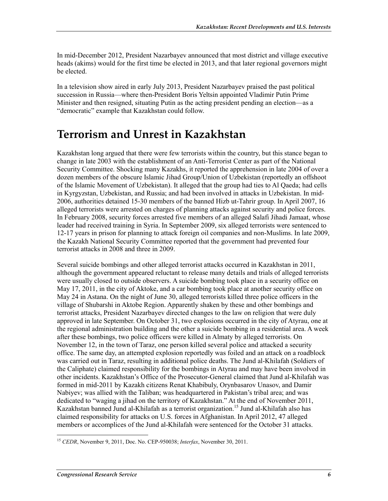In mid-December 2012, President Nazarbayev announced that most district and village executive heads (akims) would for the first time be elected in 2013, and that later regional governors might be elected.

In a television show aired in early July 2013, President Nazarbayev praised the past political succession in Russia—where then-President Boris Yeltsin appointed Vladimir Putin Prime Minister and then resigned, situating Putin as the acting president pending an election—as a "democratic" example that Kazakhstan could follow.

### **Terrorism and Unrest in Kazakhstan**

Kazakhstan long argued that there were few terrorists within the country, but this stance began to change in late 2003 with the establishment of an Anti-Terrorist Center as part of the National Security Committee. Shocking many Kazakhs, it reported the apprehension in late 2004 of over a dozen members of the obscure Islamic Jihad Group/Union of Uzbekistan (reportedly an offshoot of the Islamic Movement of Uzbekistan). It alleged that the group had ties to Al Qaeda; had cells in Kyrgyzstan, Uzbekistan, and Russia; and had been involved in attacks in Uzbekistan. In mid-2006, authorities detained 15-30 members of the banned Hizb ut-Tahrir group. In April 2007, 16 alleged terrorists were arrested on charges of planning attacks against security and police forces. In February 2008, security forces arrested five members of an alleged Salafi Jihadi Jamaat, whose leader had received training in Syria. In September 2009, six alleged terrorists were sentenced to 12-17 years in prison for planning to attack foreign oil companies and non-Muslims. In late 2009, the Kazakh National Security Committee reported that the government had prevented four terrorist attacks in 2008 and three in 2009.

Several suicide bombings and other alleged terrorist attacks occurred in Kazakhstan in 2011, although the government appeared reluctant to release many details and trials of alleged terrorists were usually closed to outside observers. A suicide bombing took place in a security office on May 17, 2011, in the city of Aktoke, and a car bombing took place at another security office on May 24 in Astana. On the night of June 30, alleged terrorists killed three police officers in the village of Shubarshi in Aktobe Region. Apparently shaken by these and other bombings and terrorist attacks, President Nazarbayev directed changes to the law on religion that were duly approved in late September. On October 31, two explosions occurred in the city of Atyrau, one at the regional administration building and the other a suicide bombing in a residential area. A week after these bombings, two police officers were killed in Almaty by alleged terrorists. On November 12, in the town of Taraz, one person killed several police and attacked a security office. The same day, an attempted explosion reportedly was foiled and an attack on a roadblock was carried out in Taraz, resulting in additional police deaths. The Jund al-Khilafah (Soldiers of the Caliphate) claimed responsibility for the bombings in Atyrau and may have been involved in other incidents. Kazakhstan's Office of the Prosecutor-General claimed that Jund al-Khilafah was formed in mid-2011 by Kazakh citizens Renat Khabibuly, Orynbasarov Unasov, and Damir Nabiyev; was allied with the Taliban; was headquartered in Pakistan's tribal area; and was dedicated to "waging a jihad on the territory of Kazakhstan." At the end of November 2011, Kazakhstan banned Jund al-Khilafah as a terrorist organization.<sup>15</sup> Jund al-Khilafah also has claimed responsibility for attacks on U.S. forces in Afghanistan. In April 2012, 47 alleged members or accomplices of the Jund al-Khilafah were sentenced for the October 31 attacks.

<sup>&</sup>lt;u>.</u> <sup>15</sup> *CEDR*, November 9, 2011, Doc. No. CEP-950038; *Interfax*, November 30, 2011.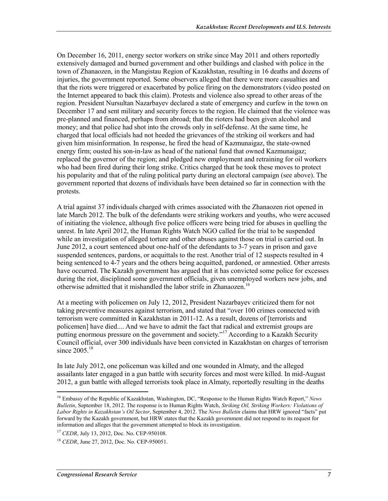On December 16, 2011, energy sector workers on strike since May 2011 and others reportedly extensively damaged and burned government and other buildings and clashed with police in the town of Zhanaozen, in the Mangistau Region of Kazakhstan, resulting in 16 deaths and dozens of injuries, the government reported. Some observers alleged that there were more casualties and that the riots were triggered or exacerbated by police firing on the demonstrators (video posted on the Internet appeared to back this claim). Protests and violence also spread to other areas of the region. President Nursultan Nazarbayev declared a state of emergency and curfew in the town on December 17 and sent military and security forces to the region. He claimed that the violence was pre-planned and financed, perhaps from abroad; that the rioters had been given alcohol and money; and that police had shot into the crowds only in self-defense. At the same time, he charged that local officials had not heeded the grievances of the striking oil workers and had given him misinformation. In response, he fired the head of Kazmunaigaz, the state-owned energy firm; ousted his son-in-law as head of the national fund that owned Kazmunaigaz; replaced the governor of the region; and pledged new employment and retraining for oil workers who had been fired during their long strike. Critics charged that he took these moves to protect his popularity and that of the ruling political party during an electoral campaign (see above). The government reported that dozens of individuals have been detained so far in connection with the protests.

A trial against 37 individuals charged with crimes associated with the Zhanaozen riot opened in late March 2012. The bulk of the defendants were striking workers and youths, who were accused of initiating the violence, although five police officers were being tried for abuses in quelling the unrest. In late April 2012, the Human Rights Watch NGO called for the trial to be suspended while an investigation of alleged torture and other abuses against those on trial is carried out. In June 2012, a court sentenced about one-half of the defendants to 3-7 years in prison and gave suspended sentences, pardons, or acquittals to the rest. Another trial of 12 suspects resulted in 4 being sentenced to 4-7 years and the others being acquitted, pardoned, or amnestied. Other arrests have occurred. The Kazakh government has argued that it has convicted some police for excesses during the riot, disciplined some government officials, given unemployed workers new jobs, and otherwise admitted that it mishandled the labor strife in Zhanaozen.<sup>16</sup>

At a meeting with policemen on July 12, 2012, President Nazarbayev criticized them for not taking preventive measures against terrorism, and stated that "over 100 crimes connected with terrorism were committed in Kazakhstan in 2011-12. As a result, dozens of [terrorists and policemen] have died.... And we have to admit the fact that radical and extremist groups are putting enormous pressure on the government and society."<sup>17</sup> According to a Kazakh Security Council official, over 300 individuals have been convicted in Kazakhstan on charges of terrorism since  $2005.^{18}$ 

In late July 2012, one policeman was killed and one wounded in Almaty, and the alleged assailants later engaged in a gun battle with security forces and most were killed. In mid-August 2012, a gun battle with alleged terrorists took place in Almaty, reportedly resulting in the deaths

<sup>16</sup> Embassy of the Republic of Kazakhstan, Washington, DC, "Response to the Human Rights Watch Report," *News Bulletin*, September 18, 2012. The response is to Human Rights Watch, *Striking Oil, Striking Workers: Violations of Labor Rights in Kazakhstan's Oil Sector*, September 4, 2012. The *News Bulletin* claims that HRW ignored "facts" put forward by the Kazakh government, but HRW states that the Kazakh government did not respond to its request for information and alleges that the government attempted to block its investigation.

<sup>17</sup> *CEDR*, July 13, 2012, Doc. No. CEP-950108.

<sup>18</sup> *CEDR*, June 27, 2012, Doc. No. CEP-950051.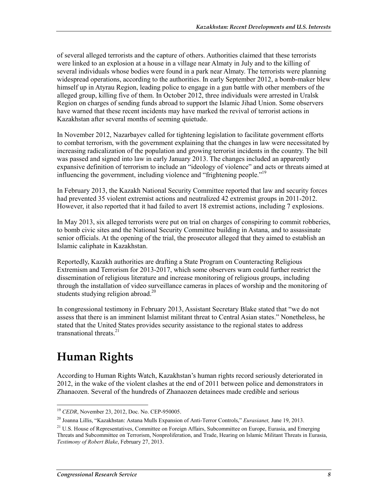of several alleged terrorists and the capture of others. Authorities claimed that these terrorists were linked to an explosion at a house in a village near Almaty in July and to the killing of several individuals whose bodies were found in a park near Almaty. The terrorists were planning widespread operations, according to the authorities. In early September 2012, a bomb-maker blew himself up in Atyrau Region, leading police to engage in a gun battle with other members of the alleged group, killing five of them. In October 2012, three individuals were arrested in Uralsk Region on charges of sending funds abroad to support the Islamic Jihad Union. Some observers have warned that these recent incidents may have marked the revival of terrorist actions in Kazakhstan after several months of seeming quietude.

In November 2012, Nazarbayev called for tightening legislation to facilitate government efforts to combat terrorism, with the government explaining that the changes in law were necessitated by increasing radicalization of the population and growing terrorist incidents in the country. The bill was passed and signed into law in early January 2013. The changes included an apparently expansive definition of terrorism to include an "ideology of violence" and acts or threats aimed at influencing the government, including violence and "frightening people."<sup>19</sup>

In February 2013, the Kazakh National Security Committee reported that law and security forces had prevented 35 violent extremist actions and neutralized 42 extremist groups in 2011-2012. However, it also reported that it had failed to avert 18 extremist actions, including 7 explosions.

In May 2013, six alleged terrorists were put on trial on charges of conspiring to commit robberies, to bomb civic sites and the National Security Committee building in Astana, and to assassinate senior officials. At the opening of the trial, the prosecutor alleged that they aimed to establish an Islamic caliphate in Kazakhstan.

Reportedly, Kazakh authorities are drafting a State Program on Counteracting Religious Extremism and Terrorism for 2013-2017, which some observers warn could further restrict the dissemination of religious literature and increase monitoring of religious groups, including through the installation of video surveillance cameras in places of worship and the monitoring of students studying religion abroad. $^{20}$ 

In congressional testimony in February 2013, Assistant Secretary Blake stated that "we do not assess that there is an imminent Islamist militant threat to Central Asian states." Nonetheless, he stated that the United States provides security assistance to the regional states to address transnational threats  $21$ 

## **Human Rights**

1

According to Human Rights Watch, Kazakhstan's human rights record seriously deteriorated in 2012, in the wake of the violent clashes at the end of 2011 between police and demonstrators in Zhanaozen. Several of the hundreds of Zhanaozen detainees made credible and serious

<sup>19</sup> *CEDR*, November 23, 2012, Doc. No. CEP-950005.

<sup>20</sup> Joanna Lillis, "Kazakhstan: Astana Mulls Expansion of Anti-Terror Controls," *Eurasianet,* June 19, 2013.

<sup>&</sup>lt;sup>21</sup> U.S. House of Representatives, Committee on Foreign Affairs, Subcommittee on Europe, Eurasia, and Emerging Threats and Subcommittee on Terrorism, Nonproliferation, and Trade, Hearing on Islamic Militant Threats in Eurasia, *Testimony of Robert Blake*, February 27, 2013.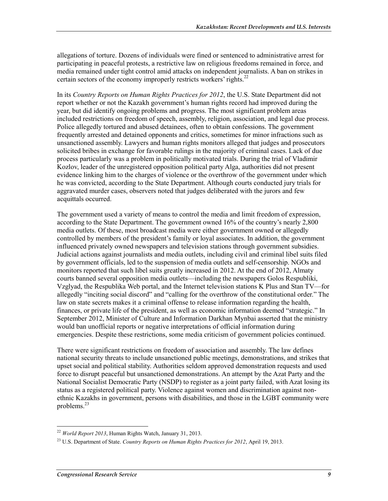allegations of torture. Dozens of individuals were fined or sentenced to administrative arrest for participating in peaceful protests, a restrictive law on religious freedoms remained in force, and media remained under tight control amid attacks on independent journalists. A ban on strikes in certain sectors of the economy improperly restricts workers' rights.<sup>22</sup>

In its *Country Reports on Human Rights Practices for 2012*, the U.S. State Department did not report whether or not the Kazakh government's human rights record had improved during the year, but did identify ongoing problems and progress. The most significant problem areas included restrictions on freedom of speech, assembly, religion, association, and legal due process. Police allegedly tortured and abused detainees, often to obtain confessions. The government frequently arrested and detained opponents and critics, sometimes for minor infractions such as unsanctioned assembly. Lawyers and human rights monitors alleged that judges and prosecutors solicited bribes in exchange for favorable rulings in the majority of criminal cases. Lack of due process particularly was a problem in politically motivated trials. During the trial of Vladimir Kozlov, leader of the unregistered opposition political party Alga, authorities did not present evidence linking him to the charges of violence or the overthrow of the government under which he was convicted, according to the State Department. Although courts conducted jury trials for aggravated murder cases, observers noted that judges deliberated with the jurors and few acquittals occurred.

The government used a variety of means to control the media and limit freedom of expression, according to the State Department. The government owned 16% of the country's nearly 2,800 media outlets. Of these, most broadcast media were either government owned or allegedly controlled by members of the president's family or loyal associates. In addition, the government influenced privately owned newspapers and television stations through government subsidies. Judicial actions against journalists and media outlets, including civil and criminal libel suits filed by government officials, led to the suspension of media outlets and self-censorship. NGOs and monitors reported that such libel suits greatly increased in 2012. At the end of 2012, Almaty courts banned several opposition media outlets—including the newspapers Golos Respubliki, Vzglyad, the Respublika Web portal, and the Internet television stations K Plus and Stan TV—for allegedly "inciting social discord" and "calling for the overthrow of the constitutional order." The law on state secrets makes it a criminal offense to release information regarding the health, finances, or private life of the president, as well as economic information deemed "strategic." In September 2012, Minister of Culture and Information Darkhan Mynbai asserted that the ministry would ban unofficial reports or negative interpretations of official information during emergencies. Despite these restrictions, some media criticism of government policies continued.

There were significant restrictions on freedom of association and assembly. The law defines national security threats to include unsanctioned public meetings, demonstrations, and strikes that upset social and political stability. Authorities seldom approved demonstration requests and used force to disrupt peaceful but unsanctioned demonstrations. An attempt by the Azat Party and the National Socialist Democratic Party (NSDP) to register as a joint party failed, with Azat losing its status as a registered political party. Violence against women and discrimination against nonethnic Kazakhs in government, persons with disabilities, and those in the LGBT community were problems. $^{23}$ 

<sup>22</sup> *World Report 2013*, Human Rights Watch, January 31, 2013.

<sup>23</sup> U.S. Department of State. *Country Reports on Human Rights Practices for 2012*, April 19, 2013.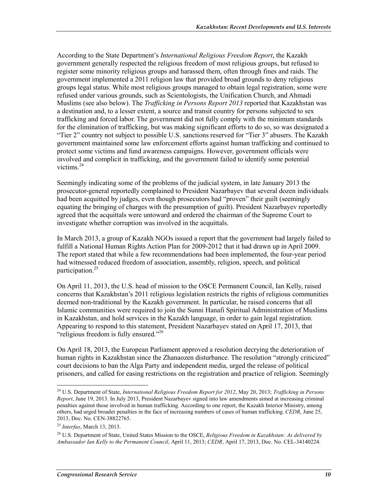According to the State Department's *International Religious Freedom Report*, the Kazakh government generally respected the religious freedom of most religious groups, but refused to register some minority religious groups and harassed them, often through fines and raids. The government implemented a 2011 religion law that provided broad grounds to deny religious groups legal status. While most religious groups managed to obtain legal registration, some were refused under various grounds, such as Scientologists, the Unification Church, and Ahmadi Muslims (see also below). The *Trafficking in Persons Report 2013* reported that Kazakhstan was a destination and, to a lesser extent, a source and transit country for persons subjected to sex trafficking and forced labor. The government did not fully comply with the minimum standards for the elimination of trafficking, but was making significant efforts to do so, so was designated a "Tier 2" country not subject to possible U.S. sanctions reserved for "Tier 3" abusers. The Kazakh government maintained some law enforcement efforts against human trafficking and continued to protect some victims and fund awareness campaigns. However, government officials were involved and complicit in trafficking, and the government failed to identify some potential victims. $24$ 

Seemingly indicating some of the problems of the judicial system, in late January 2013 the prosecutor-general reportedly complained to President Nazarbayev that several dozen individuals had been acquitted by judges, even though prosecutors had "proven" their guilt (seemingly equating the bringing of charges with the presumption of guilt). President Nazarbayev reportedly agreed that the acquittals were untoward and ordered the chairman of the Supreme Court to investigate whether corruption was involved in the acquittals.

In March 2013, a group of Kazakh NGOs issued a report that the government had largely failed to fulfill a National Human Rights Action Plan for 2009-2012 that it had drawn up in April 2009. The report stated that while a few recommendations had been implemented, the four-year period had witnessed reduced freedom of association, assembly, religion, speech, and political participation.25

On April 11, 2013, the U.S. head of mission to the OSCE Permanent Council, Ian Kelly, raised concerns that Kazakhstan's 2011 religious legislation restricts the rights of religious communities deemed non-traditional by the Kazakh government. In particular, he raised concerns that all Islamic communities were required to join the Sunni Hanafi Spiritual Administration of Muslims in Kazakhstan, and hold services in the Kazakh language, in order to gain legal registration. Appearing to respond to this statement, President Nazarbayev stated on April 17, 2013, that "religious freedom is fully ensured."<sup>26</sup>

On April 18, 2013, the European Parliament approved a resolution decrying the deterioration of human rights in Kazakhstan since the Zhanaozen disturbance. The resolution "strongly criticized" court decisions to ban the Alga Party and independent media, urged the release of political prisoners, and called for easing restrictions on the registration and practice of religion. Seemingly

<sup>24</sup> U.S. Department of State, *International Religious Freedom Report for 2012*, May 20, 2013; *Trafficking in Persons Report*, June 19, 2013. In July 2013, President Nazarbayev signed into law amendments aimed at increasing criminal penalties against those involved in human trafficking. According to one report, the Kazakh Interior Ministry, among others, had urged broader penalties in the face of increasing numbers of cases of human trafficking. *CEDR*, June 25, 2013, Doc. No. CEN-38822765.

<sup>25</sup> *Interfax*, March 13, 2013.

<sup>26</sup> U.S. Department of State, United States Mission to the OSCE, *Religious Freedom in Kazakhstan: As delivered by Ambassador Ian Kelly to the Permanent Council*, April 11, 2013; *CEDR*, April 17, 2013, Doc. No. CEL-34140224.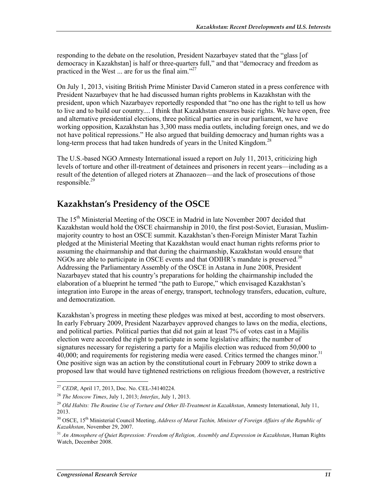responding to the debate on the resolution, President Nazarbayev stated that the "glass [of democracy in Kazakhstan] is half or three-quarters full," and that "democracy and freedom as practiced in the West  $\ldots$  are for us the final aim."<sup>27</sup>

On July 1, 2013, visiting British Prime Minister David Cameron stated in a press conference with President Nazarbayev that he had discussed human rights problems in Kazakhstan with the president, upon which Nazarbayev reportedly responded that "no one has the right to tell us how to live and to build our country.... I think that Kazakhstan ensures basic rights. We have open, free and alternative presidential elections, three political parties are in our parliament, we have working opposition, Kazakhstan has 3,300 mass media outlets, including foreign ones, and we do not have political repressions." He also argued that building democracy and human rights was a long-term process that had taken hundreds of years in the United Kingdom.<sup>28</sup>

The U.S.-based NGO Amnesty International issued a report on July 11, 2013, criticizing high levels of torture and other ill-treatment of detainees and prisoners in recent years—including as a result of the detention of alleged rioters at Zhanaozen—and the lack of prosecutions of those responsible. $29$ 

#### **Kazakhstan's Presidency of the OSCE**

The 15<sup>th</sup> Ministerial Meeting of the OSCE in Madrid in late November 2007 decided that Kazakhstan would hold the OSCE chairmanship in 2010, the first post-Soviet, Eurasian, Muslimmajority country to host an OSCE summit. Kazakhstan's then-Foreign Minister Marat Tazhin pledged at the Ministerial Meeting that Kazakhstan would enact human rights reforms prior to assuming the chairmanship and that during the chairmanship, Kazakhstan would ensure that NGOs are able to participate in OSCE events and that ODIHR's mandate is preserved.<sup>30</sup> Addressing the Parliamentary Assembly of the OSCE in Astana in June 2008, President Nazarbayev stated that his country's preparations for holding the chairmanship included the elaboration of a blueprint he termed "the path to Europe," which envisaged Kazakhstan's integration into Europe in the areas of energy, transport, technology transfers, education, culture, and democratization.

Kazakhstan's progress in meeting these pledges was mixed at best, according to most observers. In early February 2009, President Nazarbayev approved changes to laws on the media, elections, and political parties. Political parties that did not gain at least 7% of votes cast in a Majilis election were accorded the right to participate in some legislative affairs; the number of signatures necessary for registering a party for a Majilis election was reduced from 50,000 to 40,000; and requirements for registering media were eased. Critics termed the changes minor.<sup>31</sup> One positive sign was an action by the constitutional court in February 2009 to strike down a proposed law that would have tightened restrictions on religious freedom (however, a restrictive

<sup>27</sup> *CEDR*, April 17, 2013, Doc. No. CEL-34140224.

<sup>28</sup> *The Moscow Times*, July 1, 2013; *Interfax*, July 1, 2013.

<sup>29</sup> *Old Habits: The Routine Use of Torture and Other Ill-Treatment in Kazakhstan*, Amnesty International, July 11, 2013.

<sup>&</sup>lt;sup>30</sup> OSCE, 15<sup>th</sup> Ministerial Council Meeting, *Address of Marat Tazhin, Minister of Foreign Affairs of the Republic of Kazakhstan*, November 29, 2007.

<sup>31</sup> *An Atmosphere of Quiet Repression: Freedom of Religion, Assembly and Expression in Kazakhstan*, Human Rights Watch, December 2008.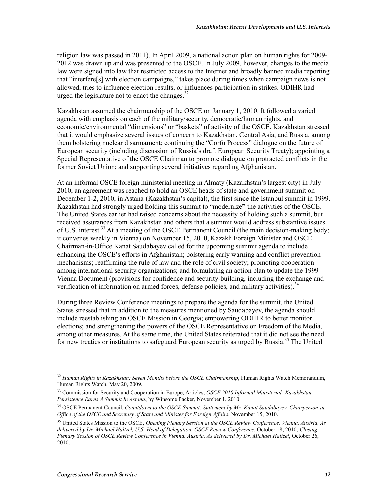religion law was passed in 2011). In April 2009, a national action plan on human rights for 2009- 2012 was drawn up and was presented to the OSCE. In July 2009, however, changes to the media law were signed into law that restricted access to the Internet and broadly banned media reporting that "interfere[s] with election campaigns," takes place during times when campaign news is not allowed, tries to influence election results, or influences participation in strikes. ODIHR had urged the legislature not to enact the changes. $32$ 

Kazakhstan assumed the chairmanship of the OSCE on January 1, 2010. It followed a varied agenda with emphasis on each of the military/security, democratic/human rights, and economic/environmental "dimensions" or "baskets" of activity of the OSCE. Kazakhstan stressed that it would emphasize several issues of concern to Kazakhstan, Central Asia, and Russia, among them bolstering nuclear disarmament; continuing the "Corfu Process" dialogue on the future of European security (including discussion of Russia's draft European Security Treaty); appointing a Special Representative of the OSCE Chairman to promote dialogue on protracted conflicts in the former Soviet Union; and supporting several initiatives regarding Afghanistan.

At an informal OSCE foreign ministerial meeting in Almaty (Kazakhstan's largest city) in July 2010, an agreement was reached to hold an OSCE heads of state and government summit on December 1-2, 2010, in Astana (Kazakhstan's capital), the first since the Istanbul summit in 1999. Kazakhstan had strongly urged holding this summit to "modernize" the activities of the OSCE. The United States earlier had raised concerns about the necessity of holding such a summit, but received assurances from Kazakhstan and others that a summit would address substantive issues of U.S. interest.<sup>33</sup> At a meeting of the OSCE Permanent Council (the main decision-making body; it convenes weekly in Vienna) on November 15, 2010, Kazakh Foreign Minister and OSCE Chairman-in-Office Kanat Saudabayev called for the upcoming summit agenda to include enhancing the OSCE's efforts in Afghanistan; bolstering early warning and conflict prevention mechanisms; reaffirming the rule of law and the role of civil society; promoting cooperation among international security organizations; and formulating an action plan to update the 1999 Vienna Document (provisions for confidence and security-building, including the exchange and verification of information on armed forces, defense policies, and military activities).<sup>34</sup>

During three Review Conference meetings to prepare the agenda for the summit, the United States stressed that in addition to the measures mentioned by Saudabayev, the agenda should include reestablishing an OSCE Mission in Georgia; empowering ODIHR to better monitor elections; and strengthening the powers of the OSCE Representative on Freedom of the Media, among other measures. At the same time, the United States reiterated that it did not see the need for new treaties or institutions to safeguard European security as urged by Russia.<sup>35</sup> The United

<sup>32</sup> *Human Rights in Kazakhstan: Seven Months before the OSCE Chairmanship*, Human Rights Watch Memorandum, Human Rights Watch, May 20, 2009.

<sup>33</sup> Commission for Security and Cooperation in Europe, Articles, *OSCE 2010 Informal Ministerial: Kazakhstan Persistence Earns A Summit In Astana*, by Winsome Packer, November 1, 2010.

<sup>34</sup> OSCE Permanent Council, *Countdown to the OSCE Summit: Statement by Mr. Kanat Saudabayev, Chairperson-in-Office of the OSCE and Secretary of State and Minister for Foreign Affairs*, November 15, 2010.

<sup>35</sup> United States Mission to the OSCE, *Opening Plenary Session at the OSCE Review Conference, Vienna, Austria, As delivered by Dr. Michael Haltzel, U.S. Head of Delegation, OSCE Review Conference*, October 18, 2010; *Closing Plenary Session of OSCE Review Conference in Vienna, Austria, As delivered by Dr. Michael Haltzel*, October 26, 2010.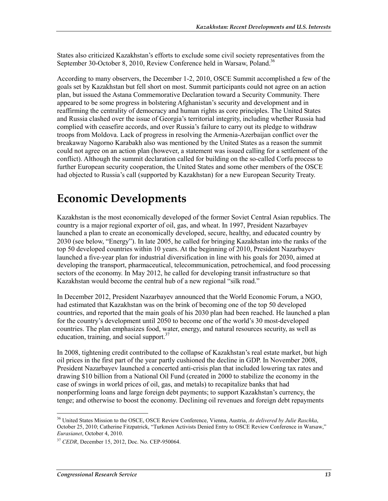States also criticized Kazakhstan's efforts to exclude some civil society representatives from the September 30-October 8, 2010, Review Conference held in Warsaw, Poland.<sup>36</sup>

According to many observers, the December 1-2, 2010, OSCE Summit accomplished a few of the goals set by Kazakhstan but fell short on most. Summit participants could not agree on an action plan, but issued the Astana Commemorative Declaration toward a Security Community. There appeared to be some progress in bolstering Afghanistan's security and development and in reaffirming the centrality of democracy and human rights as core principles. The United States and Russia clashed over the issue of Georgia's territorial integrity, including whether Russia had complied with ceasefire accords, and over Russia's failure to carry out its pledge to withdraw troops from Moldova. Lack of progress in resolving the Armenia-Azerbaijan conflict over the breakaway Nagorno Karabakh also was mentioned by the United States as a reason the summit could not agree on an action plan (however, a statement was issued calling for a settlement of the conflict). Although the summit declaration called for building on the so-called Corfu process to further European security cooperation, the United States and some other members of the OSCE had objected to Russia's call (supported by Kazakhstan) for a new European Security Treaty.

### **Economic Developments**

Kazakhstan is the most economically developed of the former Soviet Central Asian republics. The country is a major regional exporter of oil, gas, and wheat. In 1997, President Nazarbayev launched a plan to create an economically developed, secure, healthy, and educated country by 2030 (see below, "Energy"). In late 2005, he called for bringing Kazakhstan into the ranks of the top 50 developed countries within 10 years. At the beginning of 2010, President Nazarbayev launched a five-year plan for industrial diversification in line with his goals for 2030, aimed at developing the transport, pharmaceutical, telecommunication, petrochemical, and food processing sectors of the economy. In May 2012, he called for developing transit infrastructure so that Kazakhstan would become the central hub of a new regional "silk road."

In December 2012, President Nazarbayev announced that the World Economic Forum, a NGO, had estimated that Kazakhstan was on the brink of becoming one of the top 50 developed countries, and reported that the main goals of his 2030 plan had been reached. He launched a plan for the country's development until 2050 to become one of the world's 30 most-developed countries. The plan emphasizes food, water, energy, and natural resources security, as well as education, training, and social support. $37$ 

In 2008, tightening credit contributed to the collapse of Kazakhstan's real estate market, but high oil prices in the first part of the year partly cushioned the decline in GDP. In November 2008, President Nazarbayev launched a concerted anti-crisis plan that included lowering tax rates and drawing \$10 billion from a National Oil Fund (created in 2000 to stabilize the economy in the case of swings in world prices of oil, gas, and metals) to recapitalize banks that had nonperforming loans and large foreign debt payments; to support Kazakhstan's currency, the tenge; and otherwise to boost the economy. Declining oil revenues and foreign debt repayments

<sup>36</sup> United States Mission to the OSCE, OSCE Review Conference, Vienna, Austria, *As delivered by Julie Raschka*, October 25, 2010; Catherine Fitzpatrick, "Turkmen Activists Denied Entry to OSCE Review Conference in Warsaw," *Eurasianet*, October 4, 2010.

<sup>37</sup> *CEDR*, December 15, 2012, Doc. No. CEP-950064.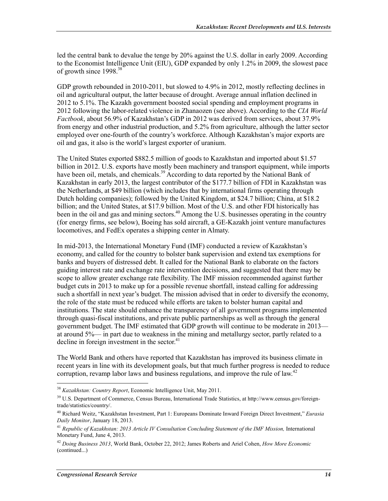led the central bank to devalue the tenge by 20% against the U.S. dollar in early 2009. According to the Economist Intelligence Unit (EIU), GDP expanded by only 1.2% in 2009, the slowest pace of growth since 1998.<sup>38</sup>

GDP growth rebounded in 2010-2011, but slowed to 4.9% in 2012, mostly reflecting declines in oil and agricultural output, the latter because of drought. Average annual inflation declined in 2012 to 5.1%. The Kazakh government boosted social spending and employment programs in 2012 following the labor-related violence in Zhanaozen (see above). According to the *CIA World Factbook*, about 56.9% of Kazakhstan's GDP in 2012 was derived from services, about 37.9% from energy and other industrial production, and 5.2% from agriculture, although the latter sector employed over one-fourth of the country's workforce. Although Kazakhstan's major exports are oil and gas, it also is the world's largest exporter of uranium.

The United States exported \$882.5 million of goods to Kazakhstan and imported about \$1.57 billion in 2012. U.S. exports have mostly been machinery and transport equipment, while imports have been oil, metals, and chemicals.<sup>39</sup> According to data reported by the National Bank of Kazakhstan in early 2013, the largest contributor of the \$177.7 billion of FDI in Kazakhstan was the Netherlands, at \$49 billion (which includes that by international firms operating through Dutch holding companies); followed by the United Kingdom, at \$24.7 billion; China, at \$18.2 billion; and the United States, at \$17.9 billion. Most of the U.S. and other FDI historically has been in the oil and gas and mining sectors.<sup>40</sup> Among the U.S. businesses operating in the country (for energy firms, see below), Boeing has sold aircraft, a GE-Kazakh joint venture manufactures locomotives, and FedEx operates a shipping center in Almaty.

In mid-2013, the International Monetary Fund (IMF) conducted a review of Kazakhstan's economy, and called for the country to bolster bank supervision and extend tax exemptions for banks and buyers of distressed debt. It called for the National Bank to elaborate on the factors guiding interest rate and exchange rate intervention decisions, and suggested that there may be scope to allow greater exchange rate flexibility. The IMF mission recommended against further budget cuts in 2013 to make up for a possible revenue shortfall, instead calling for addressing such a shortfall in next year's budget. The mission advised that in order to diversify the economy, the role of the state must be reduced while efforts are taken to bolster human capital and institutions. The state should enhance the transparency of all government programs implemented through quasi-fiscal institutions, and private public partnerships as well as through the general government budget. The IMF estimated that GDP growth will continue to be moderate in 2013 at around 5%— in part due to weakness in the mining and metallurgy sector, partly related to a decline in foreign investment in the sector. $41$ 

The World Bank and others have reported that Kazakhstan has improved its business climate in recent years in line with its development goals, but that much further progress is needed to reduce corruption, revamp labor laws and business regulations, and improve the rule of law.<sup>42</sup>

<sup>38</sup> *Kazakhstan: Country Report*, Economic Intelligence Unit, May 2011.

<sup>&</sup>lt;sup>39</sup> U.S. Department of Commerce, Census Bureau, International Trade Statistics, at http://www.census.gov/foreigntrade/statistics/country/.

<sup>40</sup> Richard Weitz, "Kazakhstan Investment, Part 1: Europeans Dominate Inward Foreign Direct Investment," *Eurasia Daily Monitor*, January 18, 2013.

<sup>&</sup>lt;sup>41</sup> Republic of Kazakhstan: 2013 Article IV Consultation Concluding Statement of the IMF Mission, International Monetary Fund, June 4, 2013.

<sup>42</sup> *Doing Business 2013*, World Bank, October 22, 2012; James Roberts and Ariel Cohen, *How More Economic*  (continued...)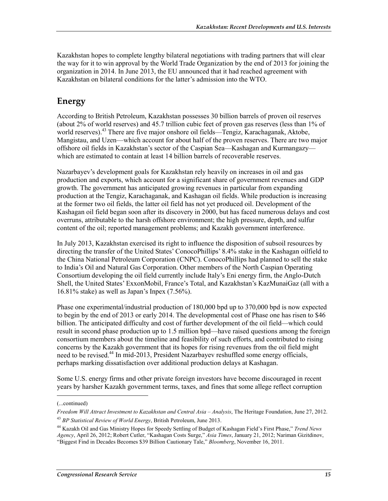Kazakhstan hopes to complete lengthy bilateral negotiations with trading partners that will clear the way for it to win approval by the World Trade Organization by the end of 2013 for joining the organization in 2014. In June 2013, the EU announced that it had reached agreement with Kazakhstan on bilateral conditions for the latter's admission into the WTO.

### **Energy**

According to British Petroleum, Kazakhstan possesses 30 billion barrels of proven oil reserves (about 2% of world reserves) and 45.7 trillion cubic feet of proven gas reserves (less than 1% of world reserves).<sup>43</sup> There are five major onshore oil fields—Tengiz, Karachaganak, Aktobe, Mangistau, and Uzen—which account for about half of the proven reserves. There are two major offshore oil fields in Kazakhstan's sector of the Caspian Sea—Kashagan and Kurmangazy which are estimated to contain at least 14 billion barrels of recoverable reserves.

Nazarbayev's development goals for Kazakhstan rely heavily on increases in oil and gas production and exports, which account for a significant share of government revenues and GDP growth. The government has anticipated growing revenues in particular from expanding production at the Tengiz, Karachaganak, and Kashagan oil fields. While production is increasing at the former two oil fields, the latter oil field has not yet produced oil. Development of the Kashagan oil field began soon after its discovery in 2000, but has faced numerous delays and cost overruns, attributable to the harsh offshore environment; the high pressure, depth, and sulfur content of the oil; reported management problems; and Kazakh government interference.

In July 2013, Kazakhstan exercised its right to influence the disposition of subsoil resources by directing the transfer of the United States' ConocoPhillips' 8.4% stake in the Kashagan oilfield to the China National Petroleum Corporation (CNPC). ConocoPhillips had planned to sell the stake to India's Oil and Natural Gas Corporation. Other members of the North Caspian Operating Consortium developing the oil field currently include Italy's Eni energy firm, the Anglo-Dutch Shell, the United States' ExxonMobil, France's Total, and Kazakhstan's KazMunaiGaz (all with a 16.81% stake) as well as Japan's Inpex (7.56%).

Phase one experimental/industrial production of 180,000 bpd up to 370,000 bpd is now expected to begin by the end of 2013 or early 2014. The developmental cost of Phase one has risen to \$46 billion. The anticipated difficulty and cost of further development of the oil field—which could result in second phase production up to 1.5 million bpd—have raised questions among the foreign consortium members about the timeline and feasibility of such efforts, and contributed to rising concerns by the Kazakh government that its hopes for rising revenues from the oil field might need to be revised.<sup>44</sup> In mid-2013, President Nazarbayev reshuffled some energy officials, perhaps marking dissatisfaction over additional production delays at Kashagan.

Some U.S. energy firms and other private foreign investors have become discouraged in recent years by harsher Kazakh government terms, taxes, and fines that some allege reflect corruption

 $\overline{a}$ 

<sup>(...</sup>continued)

*Freedom Will Attract Investment to Kazakhstan and Central Asia – Analysis*, The Heritage Foundation, June 27, 2012. <sup>43</sup> *BP Statistical Review of World Energy*, British Petroleum, June 2013.

<sup>44</sup> Kazakh Oil and Gas Ministry Hopes for Speedy Settling of Budget of Kashagan Field's First Phase," *Trend News Agency*, April 26, 2012; Robert Cutler, "Kashagan Costs Surge," *Asia Times*, January 21, 2012; Nariman Gizitdinov, "Biggest Find in Decades Becomes \$39 Billion Cautionary Tale," *Bloomberg*, November 16, 2011.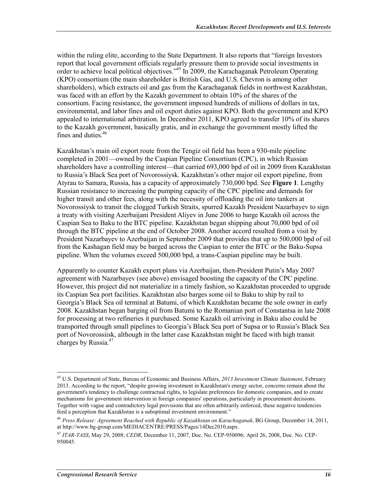within the ruling elite, according to the State Department. It also reports that "foreign Investors report that local government officials regularly pressure them to provide social investments in order to achieve local political objectives."45 In 2009, the Karachaganak Petroleum Operating (KPO) consortium (the main shareholder is British Gas, and U.S. Chevron is among other shareholders), which extracts oil and gas from the Karachaganak fields in northwest Kazakhstan, was faced with an effort by the Kazakh government to obtain 10% of the shares of the consortium. Facing resistance, the government imposed hundreds of millions of dollars in tax, environmental, and labor fines and oil export duties against KPO. Both the government and KPO appealed to international arbitration. In December 2011, KPO agreed to transfer 10% of its shares to the Kazakh government, basically gratis, and in exchange the government mostly lifted the fines and duties.<sup>46</sup>

Kazakhstan's main oil export route from the Tengiz oil field has been a 930-mile pipeline completed in 2001—owned by the Caspian Pipeline Consortium (CPC), in which Russian shareholders have a controlling interest—that carried 693,000 bpd of oil in 2009 from Kazakhstan to Russia's Black Sea port of Novorossiysk. Kazakhstan's other major oil export pipeline, from Atyrau to Samara, Russia, has a capacity of approximately 730,000 bpd. See **Figure 1**. Lengthy Russian resistance to increasing the pumping capacity of the CPC pipeline and demands for higher transit and other fees, along with the necessity of offloading the oil into tankers at Novorossiysk to transit the clogged Turkish Straits, spurred Kazakh President Nazarbayev to sign a treaty with visiting Azerbaijani President Aliyev in June 2006 to barge Kazakh oil across the Caspian Sea to Baku to the BTC pipeline. Kazakhstan began shipping about 70,000 bpd of oil through the BTC pipeline at the end of October 2008. Another accord resulted from a visit by President Nazarbayev to Azerbaijan in September 2009 that provides that up to 500,000 bpd of oil from the Kashagan field may be barged across the Caspian to enter the BTC or the Baku-Supsa pipeline. When the volumes exceed 500,000 bpd, a trans-Caspian pipeline may be built.

Apparently to counter Kazakh export plans via Azerbaijan, then-President Putin's May 2007 agreement with Nazarbayev (see above) envisaged boosting the capacity of the CPC pipeline. However, this project did not materialize in a timely fashion, so Kazakhstan proceeded to upgrade its Caspian Sea port facilities. Kazakhstan also barges some oil to Baku to ship by rail to Georgia's Black Sea oil terminal at Batumi, of which Kazakhstan became the sole owner in early 2008. Kazakhstan began barging oil from Batumi to the Romanian port of Constantsa in late 2008 for processing at two refineries it purchased. Some Kazakh oil arriving in Baku also could be transported through small pipelines to Georgia's Black Sea port of Supsa or to Russia's Black Sea port of Novorossiisk, although in the latter case Kazakhstan might be faced with high transit charges by Russia.<sup>47</sup>

<sup>45</sup> U.S. Department of State, Bureau of Economic and Business Affairs, *2013 Investment Climate Statement*, February 2013. According to the report, "despite growing investment in Kazakhstan's energy sector, concerns remain about the government's tendency to challenge contractual rights, to legislate preferences for domestic companies, and to create mechanisms for government intervention in foreign companies' operations, particularly in procurement decisions. Together with vague and contradictory legal provisions that are often arbitrarily enforced, these negative tendencies feed a perception that Kazakhstan is a suboptimal investment environment."

<sup>46</sup> *Press Release: Agreement Reached with Republic of Kazakhstan on Karachaganak*, BG Group, December 14, 2011, at http://www.bg-group.com/MEDIACENTRE/PRESS/Pages/14Dec2010.aspx.

<sup>47</sup> *ITAR-TASS*, May 29, 2008; *CEDR*, December 11, 2007, Doc. No. CEP-950096; April 26, 2008, Doc. No. CEP-950045.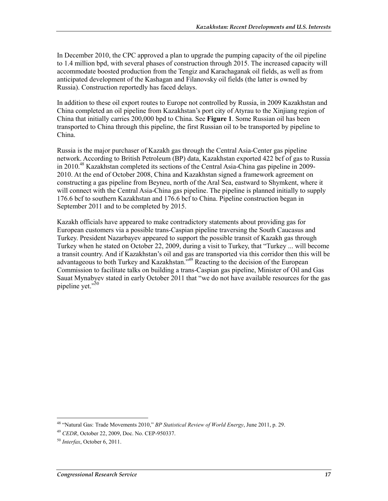In December 2010, the CPC approved a plan to upgrade the pumping capacity of the oil pipeline to 1.4 million bpd, with several phases of construction through 2015. The increased capacity will accommodate boosted production from the Tengiz and Karachaganak oil fields, as well as from anticipated development of the Kashagan and Filanovsky oil fields (the latter is owned by Russia). Construction reportedly has faced delays.

In addition to these oil export routes to Europe not controlled by Russia, in 2009 Kazakhstan and China completed an oil pipeline from Kazakhstan's port city of Atyrau to the Xinjiang region of China that initially carries 200,000 bpd to China. See **Figure 1**. Some Russian oil has been transported to China through this pipeline, the first Russian oil to be transported by pipeline to China.

Russia is the major purchaser of Kazakh gas through the Central Asia-Center gas pipeline network. According to British Petroleum (BP) data, Kazakhstan exported 422 bcf of gas to Russia in 2010.48 Kazakhstan completed its sections of the Central Asia-China gas pipeline in 2009- 2010. At the end of October 2008, China and Kazakhstan signed a framework agreement on constructing a gas pipeline from Beyneu, north of the Aral Sea, eastward to Shymkent, where it will connect with the Central Asia-China gas pipeline. The pipeline is planned initially to supply 176.6 bcf to southern Kazakhstan and 176.6 bcf to China. Pipeline construction began in September 2011 and to be completed by 2015.

Kazakh officials have appeared to make contradictory statements about providing gas for European customers via a possible trans-Caspian pipeline traversing the South Caucasus and Turkey. President Nazarbayev appeared to support the possible transit of Kazakh gas through Turkey when he stated on October 22, 2009, during a visit to Turkey, that "Turkey ... will become a transit country. And if Kazakhstan's oil and gas are transported via this corridor then this will be advantageous to both Turkey and Kazakhstan.<sup>749</sup> Reacting to the decision of the European Commission to facilitate talks on building a trans-Caspian gas pipeline, Minister of Oil and Gas Sauat Mynabyev stated in early October 2011 that "we do not have available resources for the gas pipeline yet."<sup>50</sup>

<sup>48 &</sup>quot;Natural Gas: Trade Movements 2010," *BP Statistical Review of World Energy*, June 2011, p. 29.

<sup>49</sup> *CEDR*, October 22, 2009, Doc. No. CEP-950337.

<sup>50</sup> *Interfax*, October 6, 2011.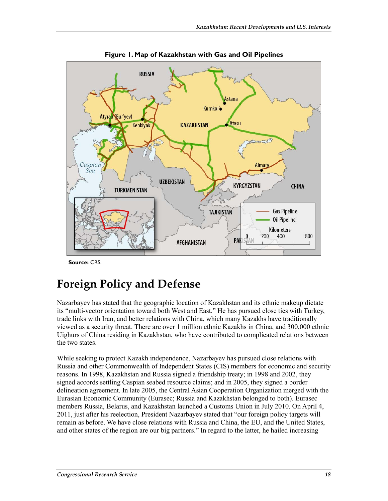

**Figure 1. Map of Kazakhstan with Gas and Oil Pipelines** 

**Source:** CRS.

### **Foreign Policy and Defense**

Nazarbayev has stated that the geographic location of Kazakhstan and its ethnic makeup dictate its "multi-vector orientation toward both West and East." He has pursued close ties with Turkey, trade links with Iran, and better relations with China, which many Kazakhs have traditionally viewed as a security threat. There are over 1 million ethnic Kazakhs in China, and 300,000 ethnic Uighurs of China residing in Kazakhstan, who have contributed to complicated relations between the two states.

While seeking to protect Kazakh independence, Nazarbayev has pursued close relations with Russia and other Commonwealth of Independent States (CIS) members for economic and security reasons. In 1998, Kazakhstan and Russia signed a friendship treaty; in 1998 and 2002, they signed accords settling Caspian seabed resource claims; and in 2005, they signed a border delineation agreement. In late 2005, the Central Asian Cooperation Organization merged with the Eurasian Economic Community (Eurasec; Russia and Kazakhstan belonged to both). Eurasec members Russia, Belarus, and Kazakhstan launched a Customs Union in July 2010. On April 4, 2011, just after his reelection, President Nazarbayev stated that "our foreign policy targets will remain as before. We have close relations with Russia and China, the EU, and the United States, and other states of the region are our big partners." In regard to the latter, he hailed increasing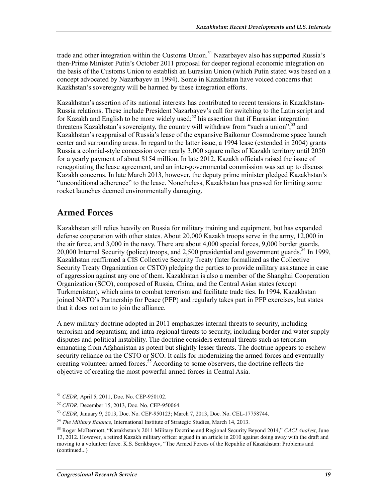trade and other integration within the Customs Union.<sup>51</sup> Nazarbayev also has supported Russia's then-Prime Minister Putin's October 2011 proposal for deeper regional economic integration on the basis of the Customs Union to establish an Eurasian Union (which Putin stated was based on a concept advocated by Nazarbayev in 1994). Some in Kazakhstan have voiced concerns that Kazkhstan's sovereignty will be harmed by these integration efforts.

Kazakhstan's assertion of its national interests has contributed to recent tensions in Kazakhstan-Russia relations. These include President Nazarbayev's call for switching to the Latin script and for Kazakh and English to be more widely used;<sup>52</sup> his assertion that if Eurasian integration threatens Kazakhstan's sovereignty, the country will withdraw from "such a union",<sup>53</sup> and Kazakhstan's reappraisal of Russia's lease of the expansive Baikonur Cosmodrome space launch center and surrounding areas. In regard to the latter issue, a 1994 lease (extended in 2004) grants Russia a colonial-style concession over nearly 3,000 square miles of Kazakh territory until 2050 for a yearly payment of about \$154 million. In late 2012, Kazakh officials raised the issue of renegotiating the lease agreement, and an inter-governmental commission was set up to discuss Kazakh concerns. In late March 2013, however, the deputy prime minister pledged Kazakhstan's "unconditional adherence" to the lease. Nonetheless, Kazakhstan has pressed for limiting some rocket launches deemed environmentally damaging.

#### **Armed Forces**

Kazakhstan still relies heavily on Russia for military training and equipment, but has expanded defense cooperation with other states. About 20,000 Kazakh troops serve in the army, 12,000 in the air force, and 3,000 in the navy. There are about 4,000 special forces, 9,000 border guards, 20,000 Internal Security (police) troops, and 2,500 presidential and government guards.  $54$  In 1999, Kazakhstan reaffirmed a CIS Collective Security Treaty (later formalized as the Collective Security Treaty Organization or CSTO) pledging the parties to provide military assistance in case of aggression against any one of them. Kazakhstan is also a member of the Shanghai Cooperation Organization (SCO), composed of Russia, China, and the Central Asian states (except Turkmenistan), which aims to combat terrorism and facilitate trade ties. In 1994, Kazakhstan joined NATO's Partnership for Peace (PFP) and regularly takes part in PFP exercises, but states that it does not aim to join the alliance.

A new military doctrine adopted in 2011 emphasizes internal threats to security, including terrorism and separatism; and intra-regional threats to security, including border and water supply disputes and political instability. The doctrine considers external threats such as terrorism emanating from Afghanistan as potent but slightly lesser threats. The doctrine appears to eschew security reliance on the CSTO or SCO. It calls for modernizing the armed forces and eventually creating volunteer armed forces.<sup>55</sup> According to some observers, the doctrine reflects the objective of creating the most powerful armed forces in Central Asia.

<sup>51</sup> *CEDR*, April 5, 2011, Doc. No. CEP-950102.

<sup>52</sup> *CEDR*, December 15, 2013, Doc. No. CEP-950064.

<sup>53</sup> *CEDR*, January 9, 2013, Doc. No. CEP-950123; March 7, 2013, Doc. No. CEL-17758744.

<sup>54</sup> *The Military Balance,* International Institute of Strategic Studies, March 14, 2013.

<sup>55</sup> Roger McDermott, "Kazakhstan's 2011 Military Doctrine and Regional Security Beyond 2014," *CACI Analyst*, June 13, 2012. However, a retired Kazakh military officer argued in an article in 2010 against doing away with the draft and moving to a volunteer force. K.S. Serikbayev, "The Armed Forces of the Republic of Kazakhstan: Problems and (continued...)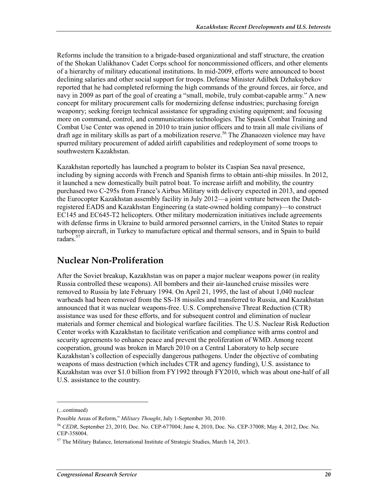Reforms include the transition to a brigade-based organizational and staff structure, the creation of the Shokan Ualikhanov Cadet Corps school for noncommissioned officers, and other elements of a hierarchy of military educational institutions. In mid-2009, efforts were announced to boost declining salaries and other social support for troops. Defense Minister Adilbek Dzhaksybekov reported that he had completed reforming the high commands of the ground forces, air force, and navy in 2009 as part of the goal of creating a "small, mobile, truly combat-capable army." A new concept for military procurement calls for modernizing defense industries; purchasing foreign weaponry; seeking foreign technical assistance for upgrading existing equipment; and focusing more on command, control, and communications technologies. The Spassk Combat Training and Combat Use Center was opened in 2010 to train junior officers and to train all male civilians of draft age in military skills as part of a mobilization reserve.<sup>56</sup> The Zhanaozen violence may have spurred military procurement of added airlift capabilities and redeployment of some troops to southwestern Kazakhstan.

Kazakhstan reportedly has launched a program to bolster its Caspian Sea naval presence, including by signing accords with French and Spanish firms to obtain anti-ship missiles. In 2012, it launched a new domestically built patrol boat. To increase airlift and mobility, the country purchased two C-295s from France's Airbus Military with delivery expected in 2013, and opened the Eurocopter Kazakhstan assembly facility in July 2012—a joint venture between the Dutchregistered EADS and Kazakhstan Engineering (a state-owned holding company)—to construct EC145 and EC645-T2 helicopters. Other military modernization initiatives include agreements with defense firms in Ukraine to build armored personnel carriers, in the United States to repair turboprop aircraft, in Turkey to manufacture optical and thermal sensors, and in Spain to build radars.<sup>57</sup>

### **Nuclear Non-Proliferation**

After the Soviet breakup, Kazakhstan was on paper a major nuclear weapons power (in reality Russia controlled these weapons). All bombers and their air-launched cruise missiles were removed to Russia by late February 1994. On April 21, 1995, the last of about 1,040 nuclear warheads had been removed from the SS-18 missiles and transferred to Russia, and Kazakhstan announced that it was nuclear weapons-free. U.S. Comprehensive Threat Reduction (CTR) assistance was used for these efforts, and for subsequent control and elimination of nuclear materials and former chemical and biological warfare facilities. The U.S. Nuclear Risk Reduction Center works with Kazakhstan to facilitate verification and compliance with arms control and security agreements to enhance peace and prevent the proliferation of WMD. Among recent cooperation, ground was broken in March 2010 on a Central Laboratory to help secure Kazakhstan's collection of especially dangerous pathogens. Under the objective of combating weapons of mass destruction (which includes CTR and agency funding), U.S. assistance to Kazakhstan was over \$1.0 billion from FY1992 through FY2010, which was about one-half of all U.S. assistance to the country.

<sup>(...</sup>continued)

Possible Areas of Reform," *Military Thought*, July 1-September 30, 2010.

<sup>56</sup> *CEDR*, September 23, 2010, Doc. No. CEP-677004; June 4, 2010, Doc. No. CEP-37008; May 4, 2012, Doc. No. CEP-358004.

 $57$  The Military Balance, International Institute of Strategic Studies, March 14, 2013.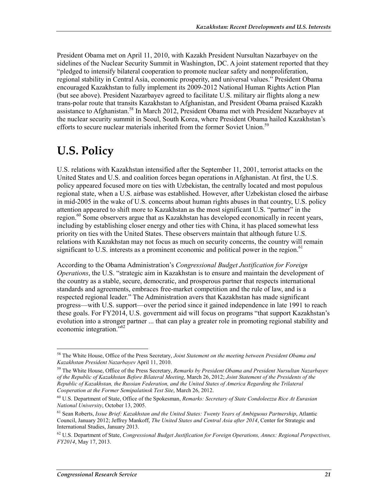President Obama met on April 11, 2010, with Kazakh President Nursultan Nazarbayev on the sidelines of the Nuclear Security Summit in Washington, DC. A joint statement reported that they "pledged to intensify bilateral cooperation to promote nuclear safety and nonproliferation, regional stability in Central Asia, economic prosperity, and universal values." President Obama encouraged Kazakhstan to fully implement its 2009-2012 National Human Rights Action Plan (but see above). President Nazarbayev agreed to facilitate U.S. military air flights along a new trans-polar route that transits Kazakhstan to Afghanistan, and President Obama praised Kazakh assistance to Afghanistan.<sup>58</sup> In March 2012, President Obama met with President Nazarbayev at the nuclear security summit in Seoul, South Korea, where President Obama hailed Kazakhstan's efforts to secure nuclear materials inherited from the former Soviet Union.<sup>59</sup>

### **U.S. Policy**

U.S. relations with Kazakhstan intensified after the September 11, 2001, terrorist attacks on the United States and U.S. and coalition forces began operations in Afghanistan. At first, the U.S. policy appeared focused more on ties with Uzbekistan, the centrally located and most populous regional state, when a U.S. airbase was established. However, after Uzbekistan closed the airbase in mid-2005 in the wake of U.S. concerns about human rights abuses in that country, U.S. policy attention appeared to shift more to Kazakhstan as the most significant U.S. "partner" in the region.<sup>60</sup> Some observers argue that as Kazakhstan has developed economically in recent years, including by establishing closer energy and other ties with China, it has placed somewhat less priority on ties with the United States. These observers maintain that although future U.S. relations with Kazakhstan may not focus as much on security concerns, the country will remain significant to U.S. interests as a prominent economic and political power in the region.<sup>61</sup>

According to the Obama Administration's *Congressional Budget Justification for Foreign Operations*, the U.S. "strategic aim in Kazakhstan is to ensure and maintain the development of the country as a stable, secure, democratic, and prosperous partner that respects international standards and agreements, embraces free-market competition and the rule of law, and is a respected regional leader." The Administration avers that Kazakhstan has made significant progress—with U.S. support—over the period since it gained independence in late 1991 to reach these goals. For FY2014, U.S. government aid will focus on programs "that support Kazakhstan's evolution into a stronger partner ... that can play a greater role in promoting regional stability and economic integration."62

<u>.</u>

<sup>58</sup> The White House, Office of the Press Secretary, *Joint Statement on the meeting between President Obama and Kazakhstan President Nazarbayev* April 11, 2010.

<sup>59</sup> The White House, Office of the Press Secretary, *Remarks by President Obama and President Nursultan Nazarbayev of the Republic of Kazakhstan Before Bilateral Meeting*, March 26, 2012; *Joint Statement of the Presidents of the Republic of Kazakhstan, the Russian Federation, and the United States of America Regarding the Trilateral Cooperation at the Former Semipalatinsk Test Site*, March 26, 2012.

<sup>60</sup> U.S. Department of State, Office of the Spokesman, *Remarks: Secretary of State Condoleezza Rice At Eurasian National University*, October 13, 2005.

<sup>61</sup> Sean Roberts, *Issue Brief: Kazakhstan and the United States: Twenty Years of Ambiguous Partnership*, Atlantic Council, January 2012; Jeffrey Mankoff, *The United States and Central Asia after 2014*, Center for Strategic and International Studies, January 2013.

<sup>62</sup> U.S. Department of State, *Congressional Budget Justification for Foreign Operations, Annex: Regional Perspectives, FY2014*, May 17, 2013.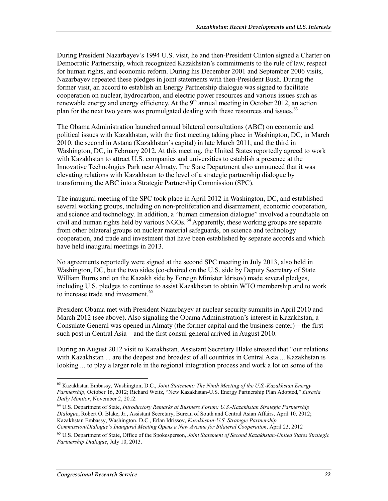During President Nazarbayev's 1994 U.S. visit, he and then-President Clinton signed a Charter on Democratic Partnership, which recognized Kazakhstan's commitments to the rule of law, respect for human rights, and economic reform. During his December 2001 and September 2006 visits, Nazarbayev repeated these pledges in joint statements with then-President Bush. During the former visit, an accord to establish an Energy Partnership dialogue was signed to facilitate cooperation on nuclear, hydrocarbon, and electric power resources and various issues such as renewable energy and energy efficiency. At the  $9<sup>th</sup>$  annual meeting in October 2012, an action plan for the next two years was promulgated dealing with these resources and issues.<sup>63</sup>

The Obama Administration launched annual bilateral consultations (ABC) on economic and political issues with Kazakhstan, with the first meeting taking place in Washington, DC, in March 2010, the second in Astana (Kazakhstan's capital) in late March 2011, and the third in Washington, DC, in February 2012. At this meeting, the United States reportedly agreed to work with Kazakhstan to attract U.S. companies and universities to establish a presence at the Innovative Technologies Park near Almaty. The State Department also announced that it was elevating relations with Kazakhstan to the level of a strategic partnership dialogue by transforming the ABC into a Strategic Partnership Commission (SPC).

The inaugural meeting of the SPC took place in April 2012 in Washington, DC, and established several working groups, including on non-proliferation and disarmament, economic cooperation, and science and technology. In addition, a "human dimension dialogue" involved a roundtable on civil and human rights held by various NGOs. <sup>64</sup> Apparently, these working groups are separate from other bilateral groups on nuclear material safeguards, on science and technology cooperation, and trade and investment that have been established by separate accords and which have held inaugural meetings in 2013.

No agreements reportedly were signed at the second SPC meeting in July 2013, also held in Washington, DC, but the two sides (co-chaired on the U.S. side by Deputy Secretary of State William Burns and on the Kazakh side by Foreign Minister Idrisov) made several pledges, including U.S. pledges to continue to assist Kazakhstan to obtain WTO membership and to work to increase trade and investment.<sup>65</sup>

President Obama met with President Nazarbayev at nuclear security summits in April 2010 and March 2012 (see above). Also signaling the Obama Administration's interest in Kazakhstan, a Consulate General was opened in Almaty (the former capital and the business center)—the first such post in Central Asia—and the first consul general arrived in August 2010.

During an August 2012 visit to Kazakhstan, Assistant Secretary Blake stressed that "our relations with Kazakhstan ... are the deepest and broadest of all countries in Central Asia.... Kazakhstan is looking ... to play a larger role in the regional integration process and work a lot on some of the

<sup>63</sup> Kazakhstan Embassy, Washington, D.C., *Joint Statement: The Ninth Meeting of the U.S.-Kazakhstan Energy Partnership,* October 16, 2012; Richard Weitz, "New Kazakhstan-U.S. Energy Partnership Plan Adopted," *Eurasia Daily Monitor*, November 2, 2012.

<sup>64</sup> U.S. Department of State, *Introductory Remarks at Business Forum: U.S.-Kazakhstan Strategic Partnership Dialogue*, Robert O. Blake, Jr., Assistant Secretary, Bureau of South and Central Asian Affairs, April 10, 2012; Kazakhstan Embassy, Washington, D.C., Erlan Idrissov, *Kazakhstan-U.S. Strategic Partnership Commission/Dialogue's Inaugural Meeting Opens a New Avenue for Bilateral Cooperation*, April 23, 2012

<sup>65</sup> U.S. Department of State, Office of the Spokesperson, *Joint Statement of Second Kazakhstan-United States Strategic Partnership Dialogue*, July 10, 2013.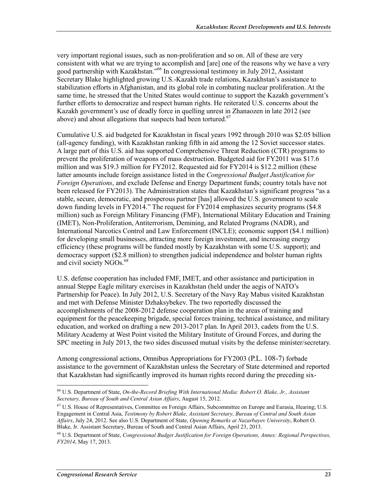very important regional issues, such as non-proliferation and so on. All of these are very consistent with what we are trying to accomplish and [are] one of the reasons why we have a very good partnership with Kazakhstan."66 In congressional testimony in July 2012, Assistant Secretary Blake highlighted growing U.S.-Kazakh trade relations, Kazakhstan's assistance to stabilization efforts in Afghanistan, and its global role in combating nuclear proliferation. At the same time, he stressed that the United States would continue to support the Kazakh government's further efforts to democratize and respect human rights. He reiterated U.S. concerns about the Kazakh government's use of deadly force in quelling unrest in Zhanaozen in late 2012 (see above) and about allegations that suspects had been tortured.<sup>67</sup>

Cumulative U.S. aid budgeted for Kazakhstan in fiscal years 1992 through 2010 was \$2.05 billion (all-agency funding), with Kazakhstan ranking fifth in aid among the 12 Soviet successor states. A large part of this U.S. aid has supported Comprehensive Threat Reduction (CTR) programs to prevent the proliferation of weapons of mass destruction. Budgeted aid for FY2011 was \$17.6 million and was \$19.3 million for FY2012. Requested aid for FY2014 is \$12.2 million (these latter amounts include foreign assistance listed in the *Congressional Budget Justification for Foreign Operations*, and exclude Defense and Energy Department funds; country totals have not been released for FY2013). The Administration states that Kazakhstan's significant progress "as a stable, secure, democratic, and prosperous partner [has] allowed the U.S. government to scale down funding levels in FY2014." The request for FY2014 emphasizes security programs (\$4.8 million) such as Foreign Military Financing (FMF), International Military Education and Training (IMET), Non-Proliferation, Antiterrorism, Demining, and Related Programs (NADR), and International Narcotics Control and Law Enforcement (INCLE); economic support (\$4.1 million) for developing small businesses, attracting more foreign investment, and increasing energy efficiency (these programs will be funded mostly by Kazakhstan with some U.S. support); and democracy support (\$2.8 million) to strengthen judicial independence and bolster human rights and civil society NGOs.<sup>68</sup>

U.S. defense cooperation has included FMF, IMET, and other assistance and participation in annual Steppe Eagle military exercises in Kazakhstan (held under the aegis of NATO's Partnership for Peace). In July 2012, U.S. Secretary of the Navy Ray Mabus visited Kazakhstan and met with Defense Minister Dzhaksybekev. The two reportedly discussed the accomplishments of the 2008-2012 defense cooperation plan in the areas of training and equipment for the peacekeeping brigade, special forces training, technical assistance, and military education, and worked on drafting a new 2013-2017 plan. In April 2013, cadets from the U.S. Military Academy at West Point visited the Military Institute of Ground Forces, and during the SPC meeting in July 2013, the two sides discussed mutual visits by the defense minister/secretary.

Among congressional actions, Omnibus Appropriations for FY2003 (P.L. 108-7) forbade assistance to the government of Kazakhstan unless the Secretary of State determined and reported that Kazakhstan had significantly improved its human rights record during the preceding six-

<sup>66</sup> U.S. Department of State, *On-the-Record Briefing With International Media: Robert O. Blake, Jr., Assistant Secretary, Bureau of South and Central Asian Affairs*, August 15, 2012.

<sup>67</sup> U.S. House of Representatives, Committee on Foreign Affairs, Subcommittee on Europe and Eurasia, Hearing; U.S. Engagement in Central Asia, *Testimony by Robert Blake, Assistant Secretary, Bureau of Central and South Asian Affairs*, July 24, 2012. See also U.S. Department of State, *Opening Remarks at Nazarbayev University*, Robert O. Blake, Jr. Assistant Secretary, Bureau of South and Central Asian Affairs, April 23, 2013.

<sup>68</sup> U.S. Department of State, *Congressional Budget Justification for Foreign Operations, Annex: Regional Perspectives, FY2014*, May 17, 2013.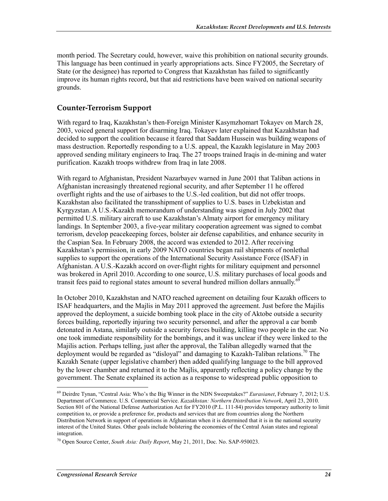month period. The Secretary could, however, waive this prohibition on national security grounds. This language has been continued in yearly appropriations acts. Since FY2005, the Secretary of State (or the designee) has reported to Congress that Kazakhstan has failed to significantly improve its human rights record, but that aid restrictions have been waived on national security grounds.

#### **Counter-Terrorism Support**

With regard to Iraq, Kazakhstan's then-Foreign Minister Kasymzhomart Tokayev on March 28, 2003, voiced general support for disarming Iraq. Tokayev later explained that Kazakhstan had decided to support the coalition because it feared that Saddam Hussein was building weapons of mass destruction. Reportedly responding to a U.S. appeal, the Kazakh legislature in May 2003 approved sending military engineers to Iraq. The 27 troops trained Iraqis in de-mining and water purification. Kazakh troops withdrew from Iraq in late 2008.

With regard to Afghanistan, President Nazarbayev warned in June 2001 that Taliban actions in Afghanistan increasingly threatened regional security, and after September 11 he offered overflight rights and the use of airbases to the U.S.-led coalition, but did not offer troops. Kazakhstan also facilitated the transshipment of supplies to U.S. bases in Uzbekistan and Kyrgyzstan. A U.S.-Kazakh memorandum of understanding was signed in July 2002 that permitted U.S. military aircraft to use Kazakhstan's Almaty airport for emergency military landings. In September 2003, a five-year military cooperation agreement was signed to combat terrorism, develop peacekeeping forces, bolster air defense capabilities, and enhance security in the Caspian Sea. In February 2008, the accord was extended to 2012. After receiving Kazakhstan's permission, in early 2009 NATO countries began rail shipments of nonlethal supplies to support the operations of the International Security Assistance Force (ISAF) in Afghanistan. A U.S.-Kazakh accord on over-flight rights for military equipment and personnel was brokered in April 2010. According to one source, U.S. military purchases of local goods and transit fees paid to regional states amount to several hundred million dollars annually.<sup>69</sup>

In October 2010, Kazakhstan and NATO reached agreement on detailing four Kazakh officers to ISAF headquarters, and the Majlis in May 2011 approved the agreement. Just before the Majilis approved the deployment, a suicide bombing took place in the city of Aktobe outside a security forces building, reportedly injuring two security personnel, and after the approval a car bomb detonated in Astana, similarly outside a security forces building, killing two people in the car. No one took immediate responsibility for the bombings, and it was unclear if they were linked to the Majilis action. Perhaps telling, just after the approval, the Taliban allegedly warned that the deployment would be regarded as "disloyal" and damaging to Kazakh-Taliban relations.<sup>70</sup> The Kazakh Senate (upper legislative chamber) then added qualifying language to the bill approved by the lower chamber and returned it to the Majlis, apparently reflecting a policy change by the government. The Senate explained its action as a response to widespread public opposition to

<sup>69</sup> Deirdre Tynan, "Central Asia: Who's the Big Winner in the NDN Sweepstakes?" *Eurasianet*, February 7, 2012; U.S. Department of Commerce. U.S. Commercial Service. *Kazakhstan: Northern Distribution Network*, April 23, 2010. Section 801 of the National Defense Authorization Act for FY2010 (P.L. 111-84) provides temporary authority to limit competition to, or provide a preference for, products and services that are from countries along the Northern Distribution Network in support of operations in Afghanistan when it is determined that it is in the national security interest of the United States. Other goals include bolstering the economies of the Central Asian states and regional integration.

<sup>70</sup> Open Source Center, *South Asia: Daily Report*, May 21, 2011, Doc. No. SAP-950023.